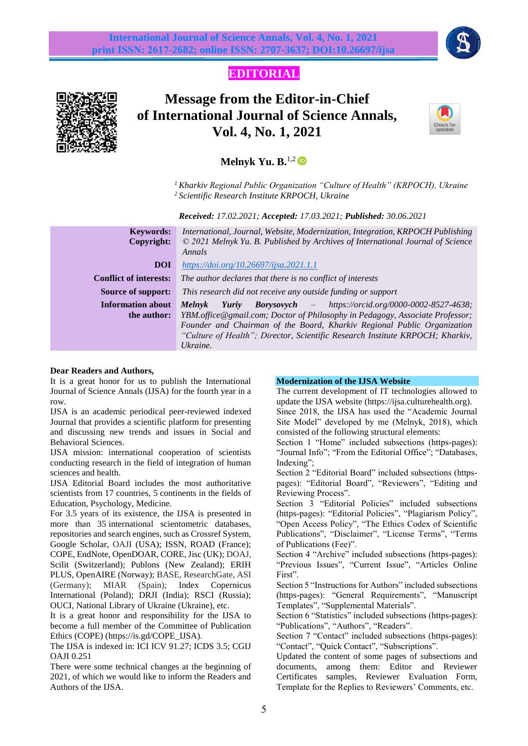

**EDITORIAL**



# **Message from the Editor-in-Chief of International Journal of Science Annals, Vol. 4, No. 1, 2021**



# **Melnyk Yu. B.**<sup>1,2</sup>

*<sup>1</sup> Kharkiv Regional Public Organization "Culture of Health" (KRPOCH), Ukraine <sup>2</sup> Scientific Research Institute KRPOCH, Ukraine*

 *Received: 17.02.2021; Accepted: 17.03.2021; Published: 30.06.2021*

| <b>Keywords:</b><br>Copyright: | International, Journal, Website, Modernization, Integration, KRPOCH Publishing<br>$\odot$ 2021 Melnyk Yu. B. Published by Archives of International Journal of Science<br>Annals |
|--------------------------------|----------------------------------------------------------------------------------------------------------------------------------------------------------------------------------|
| <b>DOI</b>                     | $\frac{https://doi.org/10.26697/ijsa.2021.1.1}{https://doi.org/10.26697/ijsa.2021.1.1}$                                                                                          |
| <b>Conflict of interests:</b>  | The author declares that there is no conflict of interests                                                                                                                       |
| <b>Source of support:</b>      | This research did not receive any outside funding or support                                                                                                                     |
| <b>Information about</b>       | <b>Borysovych</b> $-$ https://orcid.org/0000-0002-8527-4638;<br><b>Melnyk</b><br>Yuriy                                                                                           |
| the author:                    | YBM.office@gmail.com; Doctor of Philosophy in Pedagogy, Associate Professor;                                                                                                     |
|                                | Founder and Chairman of the Board, Kharkiv Regional Public Organization                                                                                                          |
|                                | "Culture of Health"; Director, Scientific Research Institute KRPOCH; Kharkiv,<br>Ukraine.                                                                                        |

#### **Dear Readers and Authors,**

It is a great honor for us to publish the International Journal of Science Annals (IJSA) for the fourth year in a row.

IJSA is an academic periodical peer-reviewed indexed Journal that provides a scientific platform for presenting and discussing new trends and issues in Social and Behavioral Sciences.

IJSA mission: international cooperation of scientists conducting research in the field of integration of human sciences and health.

IJSA Editorial Board includes the most authoritative scientists from 17 countries, 5 continents in the fields of Education, Psychology, Medicine.

For 3.5 years of its existence, the IJSA is presented in more than 35 international scientometric databases, repositories and search engines, such as Crossref System, Google Scholar, OAJI (USA); ISSN, ROAD (France); COPE, EndNote, OpenDOAR, CORE, Jisc (UK); DOAJ, Scilit (Switzerland); Publons (New Zealand); ERIH PLUS, OpenAIRE (Norway); BASE, ResearchGate, ASI (Germany); MIAR (Spain); Index Copernicus International (Poland); DRJI (India); RSCI (Russia); OUCI, National Library of Ukraine (Ukraine), etc.

It is a great honor and responsibility for the IJSA to become a full member of the Committee of Publication Ethics (COPE) [\(https://is.gd/COPE\\_IJSA\)](https://is.gd/COPE_IJSA).

The IJSA is indexed in: ICI ICV 91.27; ICDS 3.5; CGIJ OAJI 0.251

There were some technical changes at the beginning of 2021, of which we would like to inform the Readers and Authors of the IJSA.

#### **Modernization of the IJSA Website**

The current development of IT technologies allowed to update the IJSA website [\(https://ijsa.culturehealth.org\)](https://ijsa.culturehealth.org/). Since 2018, the IJSA has used the "Academic Journal Site Model" developed by me (Melnyk, 2018), which consisted of the following structural elements:

Section 1 "Home" included subsections (https-pages): "Journal Info"; "From the Editorial Office"; "Databases, Indexing";

Section 2 "Editorial Board" included subsections (httpspages): "Editorial Board", "Reviewers", "Editing and Reviewing Process".

Section 3 "Editorial Policies" included subsections (https-pages): "Editorial Policies", "Plagiarism Policy", "Open Access Policy", "The Ethics Codex of Scientific Publications", "Disclaimer", "License Terms", "Terms of Publications (Fee)".

Section 4 "Archive" included subsections (https-pages): "Previous Issues", "Current Issue", "Articles Online First".

Section 5 "Instructions for Authors" included subsections (https-pages): "General Requirements", "Manuscript Templates", "Supplemental Materials".

Section 6 "Statistics" included subsections (https-pages): "Publications", "Authors", "Readers".

Section 7 "Contact" included subsections (https-pages): "Contact", "Quick Contact", "Subscriptions".

Updated the content of some pages of subsections and documents, among them: Editor and Reviewer Certificates samples, Reviewer Evaluation Form, Template for the Replies to Reviewers' Comments, etc.